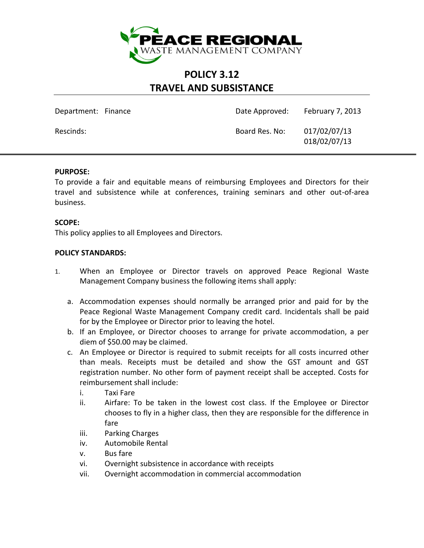

## **POLICY 3.12 TRAVEL AND SUBSISTANCE**

| Department: Finance | Date Approved: | <b>February 7, 2013</b>      |
|---------------------|----------------|------------------------------|
| Rescinds:           | Board Res. No: | 017/02/07/13<br>018/02/07/13 |

## **PURPOSE:**

To provide a fair and equitable means of reimbursing Employees and Directors for their travel and subsistence while at conferences, training seminars and other out-of-area business.

## **SCOPE:**

This policy applies to all Employees and Directors.

## **POLICY STANDARDS:**

- 1. When an Employee or Director travels on approved Peace Regional Waste Management Company business the following items shall apply:
	- a. Accommodation expenses should normally be arranged prior and paid for by the Peace Regional Waste Management Company credit card. Incidentals shall be paid for by the Employee or Director prior to leaving the hotel.
	- b. If an Employee, or Director chooses to arrange for private accommodation, a per diem of \$50.00 may be claimed.
	- c. An Employee or Director is required to submit receipts for all costs incurred other than meals. Receipts must be detailed and show the GST amount and GST registration number. No other form of payment receipt shall be accepted. Costs for reimbursement shall include:
		- i. Taxi Fare
		- ii. Airfare: To be taken in the lowest cost class. If the Employee or Director chooses to fly in a higher class, then they are responsible for the difference in fare
		- iii. Parking Charges
		- iv. Automobile Rental
		- v. Bus fare
		- vi. Overnight subsistence in accordance with receipts
		- vii. Overnight accommodation in commercial accommodation